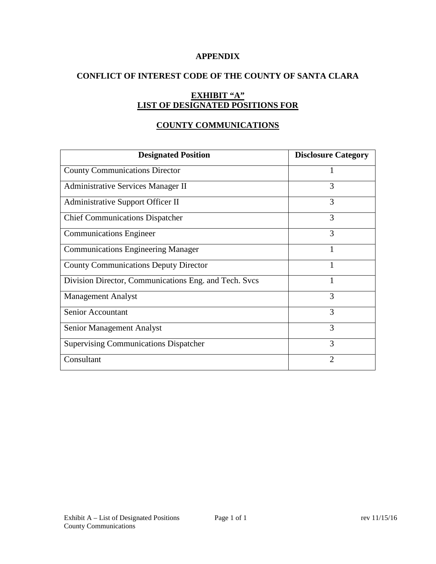### **APPENDIX**

# **CONFLICT OF INTEREST CODE OF THE COUNTY OF SANTA CLARA**

# **EXHIBIT "A" LIST OF DESIGNATED POSITIONS FOR**

## **COUNTY COMMUNICATIONS**

| <b>Designated Position</b>                            | <b>Disclosure Category</b> |
|-------------------------------------------------------|----------------------------|
| <b>County Communications Director</b>                 |                            |
| <b>Administrative Services Manager II</b>             | 3                          |
| Administrative Support Officer II                     | 3                          |
| <b>Chief Communications Dispatcher</b>                | 3                          |
| <b>Communications Engineer</b>                        | 3                          |
| <b>Communications Engineering Manager</b>             | 1                          |
| <b>County Communications Deputy Director</b>          |                            |
| Division Director, Communications Eng. and Tech. Svcs |                            |
| <b>Management Analyst</b>                             | 3                          |
| <b>Senior Accountant</b>                              | 3                          |
| <b>Senior Management Analyst</b>                      | 3                          |
| <b>Supervising Communications Dispatcher</b>          | 3                          |
| Consultant                                            | 2                          |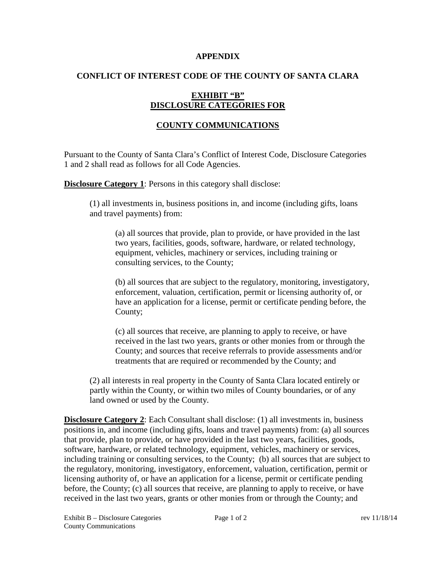#### **APPENDIX**

### **CONFLICT OF INTEREST CODE OF THE COUNTY OF SANTA CLARA**

## **EXHIBIT "B" DISCLOSURE CATEGORIES FOR**

## **COUNTY COMMUNICATIONS**

Pursuant to the County of Santa Clara's Conflict of Interest Code, Disclosure Categories 1 and 2 shall read as follows for all Code Agencies.

**Disclosure Category 1:** Persons in this category shall disclose:

(1) all investments in, business positions in, and income (including gifts, loans and travel payments) from:

(a) all sources that provide, plan to provide, or have provided in the last two years, facilities, goods, software, hardware, or related technology, equipment, vehicles, machinery or services, including training or consulting services, to the County;

(b) all sources that are subject to the regulatory, monitoring, investigatory, enforcement, valuation, certification, permit or licensing authority of, or have an application for a license, permit or certificate pending before, the County;

(c) all sources that receive, are planning to apply to receive, or have received in the last two years, grants or other monies from or through the County; and sources that receive referrals to provide assessments and/or treatments that are required or recommended by the County; and

(2) all interests in real property in the County of Santa Clara located entirely or partly within the County, or within two miles of County boundaries, or of any land owned or used by the County.

**Disclosure Category 2**: Each Consultant shall disclose: (1) all investments in, business positions in, and income (including gifts, loans and travel payments) from: (a) all sources that provide, plan to provide, or have provided in the last two years, facilities, goods, software, hardware, or related technology, equipment, vehicles, machinery or services, including training or consulting services, to the County; (b) all sources that are subject to the regulatory, monitoring, investigatory, enforcement, valuation, certification, permit or licensing authority of, or have an application for a license, permit or certificate pending before, the County; (c) all sources that receive, are planning to apply to receive, or have received in the last two years, grants or other monies from or through the County; and